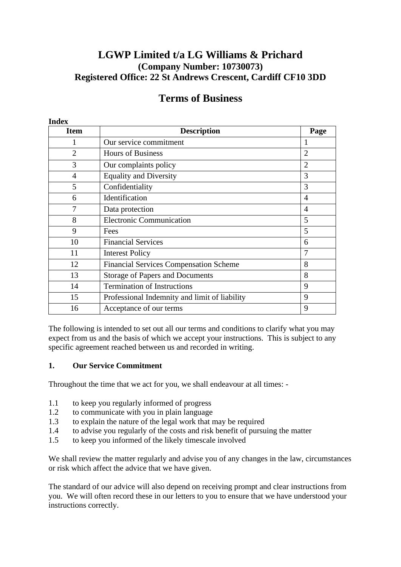## **LGWP Limited t/a LG Williams & Prichard (Company Number: 10730073) Registered Office: 22 St Andrews Crescent, Cardiff CF10 3DD**

# **Terms of Business**

| <b>Item</b>    | <b>Description</b>                            | Page           |
|----------------|-----------------------------------------------|----------------|
|                | Our service commitment                        | 1              |
| $\overline{2}$ | <b>Hours of Business</b>                      | $\overline{2}$ |
| 3              | Our complaints policy                         | $\overline{2}$ |
| 4              | <b>Equality and Diversity</b>                 | 3              |
| 5              | Confidentiality                               | 3              |
| 6              | Identification                                | 4              |
| 7              | Data protection                               | 4              |
| 8              | <b>Electronic Communication</b>               | 5              |
| 9              | Fees                                          | 5              |
| 10             | <b>Financial Services</b>                     | 6              |
| 11             | <b>Interest Policy</b>                        | 7              |
| 12             | <b>Financial Services Compensation Scheme</b> | 8              |
| 13             | <b>Storage of Papers and Documents</b>        | 8              |
| 14             | <b>Termination of Instructions</b>            | 9              |
| 15             | Professional Indemnity and limit of liability | 9              |
| 16             | Acceptance of our terms                       | 9              |

The following is intended to set out all our terms and conditions to clarify what you may expect from us and the basis of which we accept your instructions. This is subject to any specific agreement reached between us and recorded in writing.

#### **1. Our Service Commitment**

**Index**

Throughout the time that we act for you, we shall endeavour at all times: -

- 1.1 to keep you regularly informed of progress
- 1.2 to communicate with you in plain language
- 1.3 to explain the nature of the legal work that may be required
- 1.4 to advise you regularly of the costs and risk benefit of pursuing the matter
- 1.5 to keep you informed of the likely timescale involved

We shall review the matter regularly and advise you of any changes in the law, circumstances or risk which affect the advice that we have given.

The standard of our advice will also depend on receiving prompt and clear instructions from you. We will often record these in our letters to you to ensure that we have understood your instructions correctly.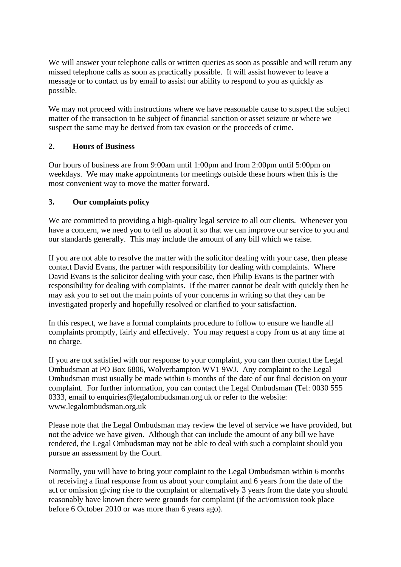We will answer your telephone calls or written queries as soon as possible and will return any missed telephone calls as soon as practically possible. It will assist however to leave a message or to contact us by email to assist our ability to respond to you as quickly as possible.

We may not proceed with instructions where we have reasonable cause to suspect the subject matter of the transaction to be subject of financial sanction or asset seizure or where we suspect the same may be derived from tax evasion or the proceeds of crime.

#### **2. Hours of Business**

Our hours of business are from 9:00am until 1:00pm and from 2:00pm until 5:00pm on weekdays. We may make appointments for meetings outside these hours when this is the most convenient way to move the matter forward.

#### **3. Our complaints policy**

We are committed to providing a high-quality legal service to all our clients. Whenever you have a concern, we need you to tell us about it so that we can improve our service to you and our standards generally. This may include the amount of any bill which we raise.

If you are not able to resolve the matter with the solicitor dealing with your case, then please contact David Evans, the partner with responsibility for dealing with complaints. Where David Evans is the solicitor dealing with your case, then Philip Evans is the partner with responsibility for dealing with complaints. If the matter cannot be dealt with quickly then he may ask you to set out the main points of your concerns in writing so that they can be investigated properly and hopefully resolved or clarified to your satisfaction.

In this respect, we have a formal complaints procedure to follow to ensure we handle all complaints promptly, fairly and effectively. You may request a copy from us at any time at no charge.

If you are not satisfied with our response to your complaint, you can then contact the Legal Ombudsman at PO Box 6806, Wolverhampton WV1 9WJ. Any complaint to the Legal Ombudsman must usually be made within 6 months of the date of our final decision on your complaint. For further information, you can contact the Legal Ombudsman (Tel: 0030 555 0333, email to enquiries@legalombudsman.org.uk or refer to the website: www.legalombudsman.org.uk

Please note that the Legal Ombudsman may review the level of service we have provided, but not the advice we have given. Although that can include the amount of any bill we have rendered, the Legal Ombudsman may not be able to deal with such a complaint should you pursue an assessment by the Court.

Normally, you will have to bring your complaint to the Legal Ombudsman within 6 months of receiving a final response from us about your complaint and 6 years from the date of the act or omission giving rise to the complaint or alternatively 3 years from the date you should reasonably have known there were grounds for complaint (if the act/omission took place before 6 October 2010 or was more than 6 years ago).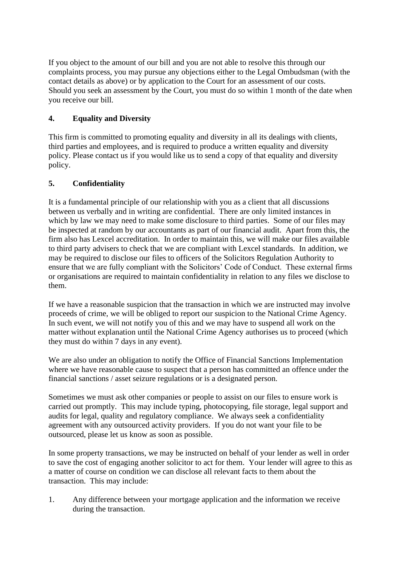If you object to the amount of our bill and you are not able to resolve this through our complaints process, you may pursue any objections either to the Legal Ombudsman (with the contact details as above) or by application to the Court for an assessment of our costs. Should you seek an assessment by the Court, you must do so within 1 month of the date when you receive our bill.

## **4. Equality and Diversity**

This firm is committed to promoting equality and diversity in all its dealings with clients, third parties and employees, and is required to produce a written equality and diversity policy. Please contact us if you would like us to send a copy of that equality and diversity policy.

#### **5. Confidentiality**

It is a fundamental principle of our relationship with you as a client that all discussions between us verbally and in writing are confidential. There are only limited instances in which by law we may need to make some disclosure to third parties. Some of our files may be inspected at random by our accountants as part of our financial audit. Apart from this, the firm also has Lexcel accreditation. In order to maintain this, we will make our files available to third party advisers to check that we are compliant with Lexcel standards. In addition, we may be required to disclose our files to officers of the Solicitors Regulation Authority to ensure that we are fully compliant with the Solicitors' Code of Conduct. These external firms or organisations are required to maintain confidentiality in relation to any files we disclose to them.

If we have a reasonable suspicion that the transaction in which we are instructed may involve proceeds of crime, we will be obliged to report our suspicion to the National Crime Agency. In such event, we will not notify you of this and we may have to suspend all work on the matter without explanation until the National Crime Agency authorises us to proceed (which they must do within 7 days in any event).

We are also under an obligation to notify the Office of Financial Sanctions Implementation where we have reasonable cause to suspect that a person has committed an offence under the financial sanctions / asset seizure regulations or is a designated person.

Sometimes we must ask other companies or people to assist on our files to ensure work is carried out promptly. This may include typing, photocopying, file storage, legal support and audits for legal, quality and regulatory compliance. We always seek a confidentiality agreement with any outsourced activity providers. If you do not want your file to be outsourced, please let us know as soon as possible.

In some property transactions, we may be instructed on behalf of your lender as well in order to save the cost of engaging another solicitor to act for them. Your lender will agree to this as a matter of course on condition we can disclose all relevant facts to them about the transaction. This may include:

1. Any difference between your mortgage application and the information we receive during the transaction.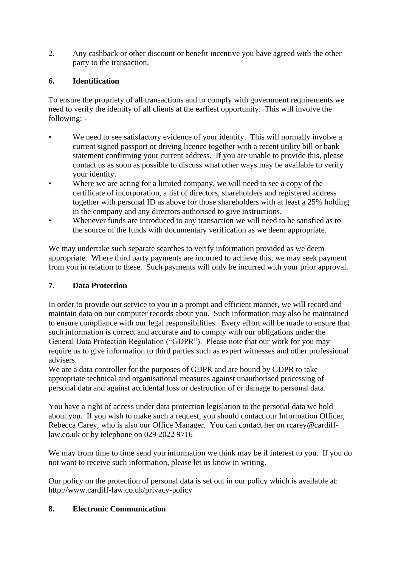2. Any cashback or other discount or benefit incentive you have agreed with the other party to the transaction.

## **6. Identification**

To ensure the propriety of all transactions and to comply with government requirements we need to verify the identity of all clients at the earliest opportunity. This will involve the following: -

- We need to see satisfactory evidence of your identity. This will normally involve a current signed passport or driving licence together with a recent utility bill or bank statement confirming your current address. If you are unable to provide this, please contact us as soon as possible to discuss what other ways may be available to verify your identity.
- Where we are acting for a limited company, we will need to see a copy of the certificate of incorporation, a list of directors, shareholders and registered address together with personal ID as above for those shareholders with at least a 25% holding in the company and any directors authorised to give instructions.
- Whenever funds are introduced to any transaction we will need to be satisfied as to the source of the funds with documentary verification as we deem appropriate.

We may undertake such separate searches to verify information provided as we deem appropriate. Where third party payments are incurred to achieve this, we may seek payment from you in relation to these. Such payments will only be incurred with your prior approval.

#### **7. Data Protection**

In order to provide our service to you in a prompt and efficient manner, we will record and maintain data on our computer records about you. Such information may also be maintained to ensure compliance with our legal responsibilities. Every effort will be made to ensure that such information is correct and accurate and to comply with our obligations under the General Data Protection Regulation ("GDPR"). Please note that our work for you may require us to give information to third parties such as expert witnesses and other professional advisers.

We are a data controller for the purposes of GDPR and are bound by GDPR to take appropriate technical and organisational measures against unauthorised processing of personal data and against accidental loss or destruction of or damage to personal data.

You have a right of access under data protection legislation to the personal data we hold about you. If you wish to make such a request, you should contact our Information Officer, Rebecca Carey, who is also our Office Manager. You can contact her on rcarey@cardifflaw.co.uk or by telephone on 029 2022 9716

We may from time to time send you information we think may be if interest to you. If you do not want to receive such information, please let us know in writing.

Our policy on the protection of personal data is set out in our policy which is available at: http://www.cardiff-law.co.uk/privacy-policy

#### **8. Electronic Communication**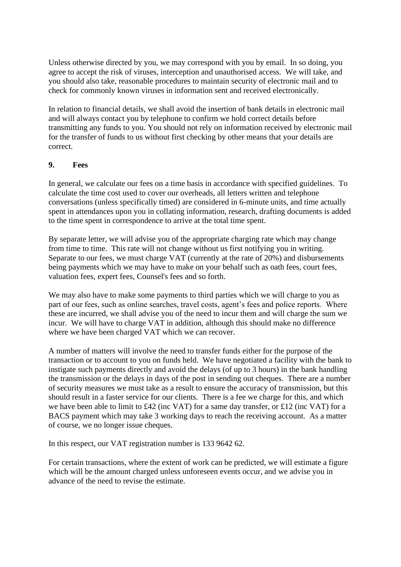Unless otherwise directed by you, we may correspond with you by email. In so doing, you agree to accept the risk of viruses, interception and unauthorised access. We will take, and you should also take, reasonable procedures to maintain security of electronic mail and to check for commonly known viruses in information sent and received electronically.

In relation to financial details, we shall avoid the insertion of bank details in electronic mail and will always contact you by telephone to confirm we hold correct details before transmitting any funds to you. You should not rely on information received by electronic mail for the transfer of funds to us without first checking by other means that your details are correct.

## **9. Fees**

In general, we calculate our fees on a time basis in accordance with specified guidelines. To calculate the time cost used to cover our overheads, all letters written and telephone conversations (unless specifically timed) are considered in 6-minute units, and time actually spent in attendances upon you in collating information, research, drafting documents is added to the time spent in correspondence to arrive at the total time spent.

By separate letter, we will advise you of the appropriate charging rate which may change from time to time. This rate will not change without us first notifying you in writing. Separate to our fees, we must charge VAT (currently at the rate of 20%) and disbursements being payments which we may have to make on your behalf such as oath fees, court fees, valuation fees, expert fees, Counsel's fees and so forth.

We may also have to make some payments to third parties which we will charge to you as part of our fees, such as online searches, travel costs, agent's fees and police reports. Where these are incurred, we shall advise you of the need to incur them and will charge the sum we incur. We will have to charge VAT in addition, although this should make no difference where we have been charged VAT which we can recover.

A number of matters will involve the need to transfer funds either for the purpose of the transaction or to account to you on funds held. We have negotiated a facility with the bank to instigate such payments directly and avoid the delays (of up to 3 hours) in the bank handling the transmission or the delays in days of the post in sending out cheques. There are a number of security measures we must take as a result to ensure the accuracy of transmission, but this should result in a faster service for our clients. There is a fee we charge for this, and which we have been able to limit to £42 (inc VAT) for a same day transfer, or £12 (inc VAT) for a BACS payment which may take 3 working days to reach the receiving account. As a matter of course, we no longer issue cheques.

In this respect, our VAT registration number is 133 9642 62.

For certain transactions, where the extent of work can be predicted, we will estimate a figure which will be the amount charged unless unforeseen events occur, and we advise you in advance of the need to revise the estimate.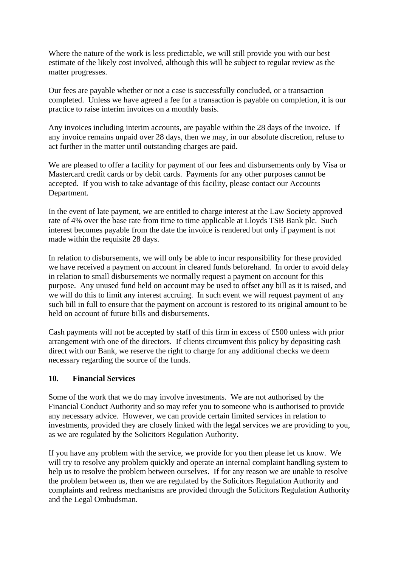Where the nature of the work is less predictable, we will still provide you with our best estimate of the likely cost involved, although this will be subject to regular review as the matter progresses.

Our fees are payable whether or not a case is successfully concluded, or a transaction completed. Unless we have agreed a fee for a transaction is payable on completion, it is our practice to raise interim invoices on a monthly basis.

Any invoices including interim accounts, are payable within the 28 days of the invoice. If any invoice remains unpaid over 28 days, then we may, in our absolute discretion, refuse to act further in the matter until outstanding charges are paid.

We are pleased to offer a facility for payment of our fees and disbursements only by Visa or Mastercard credit cards or by debit cards. Payments for any other purposes cannot be accepted. If you wish to take advantage of this facility, please contact our Accounts Department.

In the event of late payment, we are entitled to charge interest at the Law Society approved rate of 4% over the base rate from time to time applicable at Lloyds TSB Bank plc. Such interest becomes payable from the date the invoice is rendered but only if payment is not made within the requisite 28 days.

In relation to disbursements, we will only be able to incur responsibility for these provided we have received a payment on account in cleared funds beforehand. In order to avoid delay in relation to small disbursements we normally request a payment on account for this purpose. Any unused fund held on account may be used to offset any bill as it is raised, and we will do this to limit any interest accruing. In such event we will request payment of any such bill in full to ensure that the payment on account is restored to its original amount to be held on account of future bills and disbursements.

Cash payments will not be accepted by staff of this firm in excess of £500 unless with prior arrangement with one of the directors. If clients circumvent this policy by depositing cash direct with our Bank, we reserve the right to charge for any additional checks we deem necessary regarding the source of the funds.

#### **10. Financial Services**

Some of the work that we do may involve investments. We are not authorised by the Financial Conduct Authority and so may refer you to someone who is authorised to provide any necessary advice. However, we can provide certain limited services in relation to investments, provided they are closely linked with the legal services we are providing to you, as we are regulated by the Solicitors Regulation Authority.

If you have any problem with the service, we provide for you then please let us know. We will try to resolve any problem quickly and operate an internal complaint handling system to help us to resolve the problem between ourselves. If for any reason we are unable to resolve the problem between us, then we are regulated by the Solicitors Regulation Authority and complaints and redress mechanisms are provided through the Solicitors Regulation Authority and the Legal Ombudsman.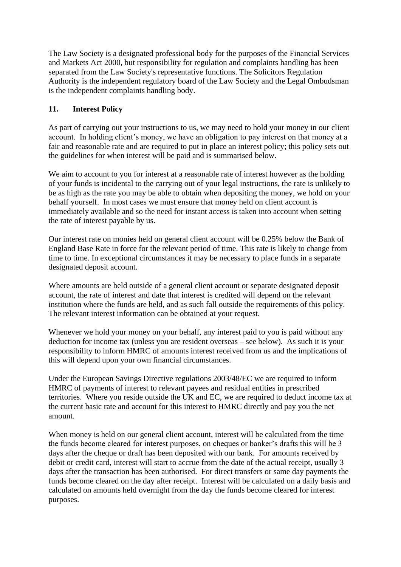The Law Society is a designated professional body for the purposes of the Financial Services and Markets Act 2000, but responsibility for regulation and complaints handling has been separated from the Law Society's representative functions. The Solicitors Regulation Authority is the independent regulatory board of the Law Society and the Legal Ombudsman is the independent complaints handling body.

#### **11. Interest Policy**

As part of carrying out your instructions to us, we may need to hold your money in our client account. In holding client's money, we have an obligation to pay interest on that money at a fair and reasonable rate and are required to put in place an interest policy; this policy sets out the guidelines for when interest will be paid and is summarised below.

We aim to account to you for interest at a reasonable rate of interest however as the holding of your funds is incidental to the carrying out of your legal instructions, the rate is unlikely to be as high as the rate you may be able to obtain when depositing the money, we hold on your behalf yourself. In most cases we must ensure that money held on client account is immediately available and so the need for instant access is taken into account when setting the rate of interest payable by us.

Our interest rate on monies held on general client account will be 0.25% below the Bank of England Base Rate in force for the relevant period of time. This rate is likely to change from time to time. In exceptional circumstances it may be necessary to place funds in a separate designated deposit account.

Where amounts are held outside of a general client account or separate designated deposit account, the rate of interest and date that interest is credited will depend on the relevant institution where the funds are held, and as such fall outside the requirements of this policy. The relevant interest information can be obtained at your request.

Whenever we hold your money on your behalf, any interest paid to you is paid without any deduction for income tax (unless you are resident overseas – see below). As such it is your responsibility to inform HMRC of amounts interest received from us and the implications of this will depend upon your own financial circumstances.

Under the European Savings Directive regulations 2003/48/EC we are required to inform HMRC of payments of interest to relevant payees and residual entities in prescribed territories. Where you reside outside the UK and EC, we are required to deduct income tax at the current basic rate and account for this interest to HMRC directly and pay you the net amount.

When money is held on our general client account, interest will be calculated from the time the funds become cleared for interest purposes, on cheques or banker's drafts this will be 3 days after the cheque or draft has been deposited with our bank. For amounts received by debit or credit card, interest will start to accrue from the date of the actual receipt, usually 3 days after the transaction has been authorised. For direct transfers or same day payments the funds become cleared on the day after receipt. Interest will be calculated on a daily basis and calculated on amounts held overnight from the day the funds become cleared for interest purposes.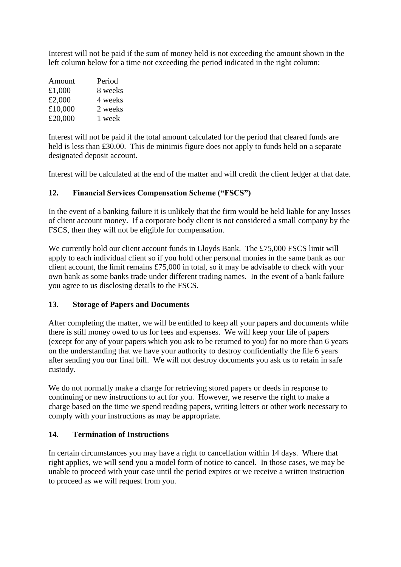Interest will not be paid if the sum of money held is not exceeding the amount shown in the left column below for a time not exceeding the period indicated in the right column:

| Amount  | Period  |
|---------|---------|
| £1,000  | 8 weeks |
| £2,000  | 4 weeks |
| £10,000 | 2 weeks |
| £20,000 | 1 week  |

Interest will not be paid if the total amount calculated for the period that cleared funds are held is less than £30.00. This de minimis figure does not apply to funds held on a separate designated deposit account.

Interest will be calculated at the end of the matter and will credit the client ledger at that date.

## **12. Financial Services Compensation Scheme ("FSCS")**

In the event of a banking failure it is unlikely that the firm would be held liable for any losses of client account money. If a corporate body client is not considered a small company by the FSCS, then they will not be eligible for compensation.

We currently hold our client account funds in Lloyds Bank. The £75,000 FSCS limit will apply to each individual client so if you hold other personal monies in the same bank as our client account, the limit remains £75,000 in total, so it may be advisable to check with your own bank as some banks trade under different trading names. In the event of a bank failure you agree to us disclosing details to the FSCS.

#### **13. Storage of Papers and Documents**

After completing the matter, we will be entitled to keep all your papers and documents while there is still money owed to us for fees and expenses. We will keep your file of papers (except for any of your papers which you ask to be returned to you) for no more than 6 years on the understanding that we have your authority to destroy confidentially the file 6 years after sending you our final bill. We will not destroy documents you ask us to retain in safe custody.

We do not normally make a charge for retrieving stored papers or deeds in response to continuing or new instructions to act for you. However, we reserve the right to make a charge based on the time we spend reading papers, writing letters or other work necessary to comply with your instructions as may be appropriate.

#### **14. Termination of Instructions**

In certain circumstances you may have a right to cancellation within 14 days. Where that right applies, we will send you a model form of notice to cancel. In those cases, we may be unable to proceed with your case until the period expires or we receive a written instruction to proceed as we will request from you.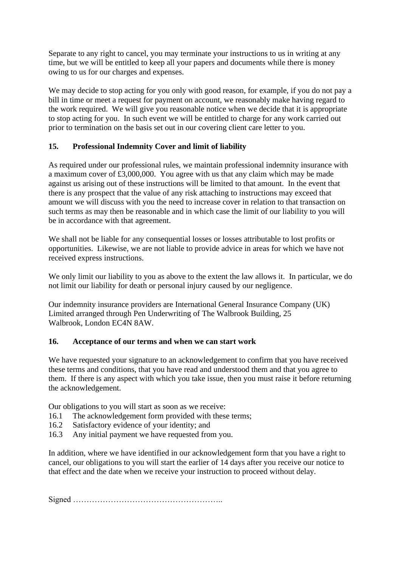Separate to any right to cancel, you may terminate your instructions to us in writing at any time, but we will be entitled to keep all your papers and documents while there is money owing to us for our charges and expenses.

We may decide to stop acting for you only with good reason, for example, if you do not pay a bill in time or meet a request for payment on account, we reasonably make having regard to the work required. We will give you reasonable notice when we decide that it is appropriate to stop acting for you. In such event we will be entitled to charge for any work carried out prior to termination on the basis set out in our covering client care letter to you.

## **15. Professional Indemnity Cover and limit of liability**

As required under our professional rules, we maintain professional indemnity insurance with a maximum cover of £3,000,000. You agree with us that any claim which may be made against us arising out of these instructions will be limited to that amount. In the event that there is any prospect that the value of any risk attaching to instructions may exceed that amount we will discuss with you the need to increase cover in relation to that transaction on such terms as may then be reasonable and in which case the limit of our liability to you will be in accordance with that agreement.

We shall not be liable for any consequential losses or losses attributable to lost profits or opportunities. Likewise, we are not liable to provide advice in areas for which we have not received express instructions.

We only limit our liability to you as above to the extent the law allows it. In particular, we do not limit our liability for death or personal injury caused by our negligence.

Our indemnity insurance providers are International General Insurance Company (UK) Limited arranged through Pen Underwriting of The Walbrook Building, 25 Walbrook, London EC4N 8AW.

#### **16. Acceptance of our terms and when we can start work**

We have requested your signature to an acknowledgement to confirm that you have received these terms and conditions, that you have read and understood them and that you agree to them. If there is any aspect with which you take issue, then you must raise it before returning the acknowledgement.

Our obligations to you will start as soon as we receive:

- 16.1 The acknowledgement form provided with these terms;
- 16.2 Satisfactory evidence of your identity; and
- 16.3 Any initial payment we have requested from you.

In addition, where we have identified in our acknowledgement form that you have a right to cancel, our obligations to you will start the earlier of 14 days after you receive our notice to that effect and the date when we receive your instruction to proceed without delay.

Signed ………………………………………………..